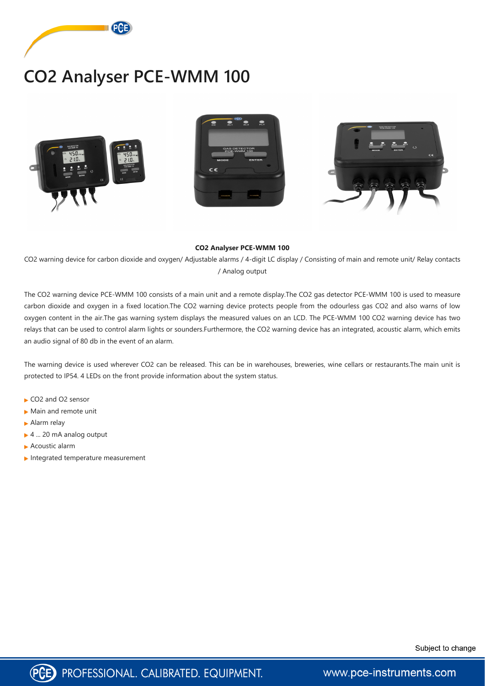

## **CO2 Analyser PCE-WMM 100**







## **CO2 Analyser PCE-WMM 100**

CO2 warning device for carbon dioxide and oxygen/ Adjustable alarms / 4-digit LC display / Consisting of main and remote unit/ Relay contacts / Analog output

The CO2 warning device PCE-WMM 100 consists of a main unit and a remote display.The CO2 gas detector PCE-WMM 100 is used to measure carbon dioxide and oxygen in a fixed location.The CO2 warning device protects people from the odourless gas CO2 and also warns of low oxygen content in the air.The gas warning system displays the measured values on an LCD. The PCE-WMM 100 CO2 warning device has two relays that can be used to control alarm lights or sounders.Furthermore, the CO2 warning device has an integrated, acoustic alarm, which emits an audio signal of 80 db in the event of an alarm.

The warning device is used wherever CO2 can be released. This can be in warehouses, breweries, wine cellars or restaurants.The main unit is protected to IP54. 4 LEDs on the front provide information about the system status.

- ► CO2 and O2 sensor
- Main and remote unit
- Alarm relay
- ► 4 ... 20 mA analog output
- Acoustic alarm
- Integrated temperature measurement





www.pce-instruments.com